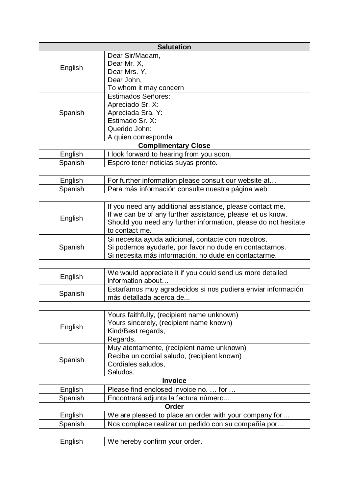| <b>Salutation</b> |                                                                 |  |
|-------------------|-----------------------------------------------------------------|--|
|                   | Dear Sir/Madam,                                                 |  |
| English           | Dear Mr. X,                                                     |  |
|                   | Dear Mrs. Y,                                                    |  |
|                   | Dear John,                                                      |  |
|                   | To whom it may concern                                          |  |
|                   | <b>Estimados Señores:</b>                                       |  |
|                   | Apreciado Sr. X:                                                |  |
| Spanish           | Apreciada Sra. Y:                                               |  |
|                   | Estimado Sr. X:                                                 |  |
|                   | Querido John:                                                   |  |
|                   | A quien corresponda                                             |  |
|                   | <b>Complimentary Close</b>                                      |  |
| English           | I look forward to hearing from you soon.                        |  |
| Spanish           | Espero tener noticias suyas pronto.                             |  |
|                   |                                                                 |  |
| English           | For further information please consult our website at           |  |
| Spanish           | Para más información consulte nuestra página web:               |  |
|                   |                                                                 |  |
|                   | If you need any additional assistance, please contact me.       |  |
|                   | If we can be of any further assistance, please let us know.     |  |
| English           | Should you need any further information, please do not hesitate |  |
|                   | to contact me.                                                  |  |
| Spanish           | Si necesita ayuda adicional, contacte con nosotros.             |  |
|                   | Si podemos ayudarle, por favor no dude en contactarnos.         |  |
|                   | Si necesita más información, no dude en contactarme.            |  |
|                   |                                                                 |  |
| English           | We would appreciate it if you could send us more detailed       |  |
|                   | information about                                               |  |
| Spanish           | Estaríamos muy agradecidos si nos pudiera enviar información    |  |
|                   | más detallada acerca de                                         |  |
|                   |                                                                 |  |
| English           | Yours faithfully, (recipient name unknown)                      |  |
|                   | Yours sincerely, (recipient name known)                         |  |
|                   | Kind/Best regards,                                              |  |
|                   | Regards,                                                        |  |
|                   | Muy atentamente, (recipient name unknown)                       |  |
| Spanish           | Reciba un cordial saludo, (recipient known)                     |  |
|                   | Cordiales saludos,                                              |  |
|                   | Saludos,                                                        |  |
| <b>Invoice</b>    |                                                                 |  |
| English           | Please find enclosed invoice no.  for                           |  |
| Spanish           | Encontrará adjunta la factura número                            |  |
| <b>Order</b>      |                                                                 |  |
| English           | We are pleased to place an order with your company for          |  |
| Spanish           | Nos complace realizar un pedido con su compañía por             |  |
|                   |                                                                 |  |
| English           | We hereby confirm your order.                                   |  |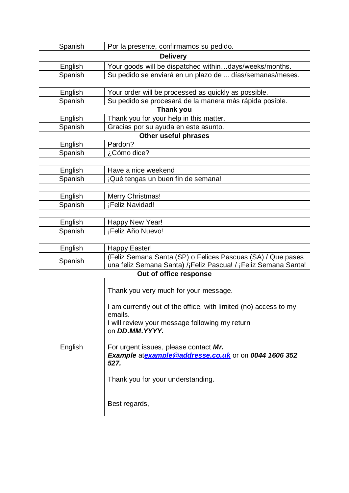| Spanish                | Por la presente, confirmamos su pedido.                          |  |  |  |
|------------------------|------------------------------------------------------------------|--|--|--|
| <b>Delivery</b>        |                                                                  |  |  |  |
| English                | Your goods will be dispatched withindays/weeks/months.           |  |  |  |
| Spanish                | Su pedido se enviará en un plazo de  días/semanas/meses.         |  |  |  |
|                        |                                                                  |  |  |  |
| English                | Your order will be processed as quickly as possible.             |  |  |  |
| Spanish                | Su pedido se procesará de la manera más rápida posible.          |  |  |  |
| <b>Thank you</b>       |                                                                  |  |  |  |
| English                | Thank you for your help in this matter.                          |  |  |  |
| Spanish                | Gracias por su ayuda en este asunto.                             |  |  |  |
|                        | Other useful phrases                                             |  |  |  |
| English                | Pardon?                                                          |  |  |  |
| Spanish                | ¿Cómo dice?                                                      |  |  |  |
|                        |                                                                  |  |  |  |
| English                | Have a nice weekend                                              |  |  |  |
| Spanish                | ¡Qué tengas un buen fin de semana!                               |  |  |  |
|                        |                                                                  |  |  |  |
| English                | Merry Christmas!                                                 |  |  |  |
| Spanish                | ¡Feliz Navidad!                                                  |  |  |  |
|                        |                                                                  |  |  |  |
| English<br>Spanish     | Happy New Year!<br>¡Feliz Año Nuevo!                             |  |  |  |
|                        |                                                                  |  |  |  |
| English                | Happy Easter!                                                    |  |  |  |
|                        | (Feliz Semana Santa (SP) o Felices Pascuas (SA) / Que pases      |  |  |  |
| Spanish                | una feliz Semana Santa) /¡Feliz Pascua! / ¡Feliz Semana Santa!   |  |  |  |
| Out of office response |                                                                  |  |  |  |
|                        |                                                                  |  |  |  |
|                        | Thank you very much for your message.                            |  |  |  |
|                        |                                                                  |  |  |  |
|                        | I am currently out of the office, with limited (no) access to my |  |  |  |
|                        | emails.                                                          |  |  |  |
|                        | I will review your message following my return<br>on DD.MM.YYYY. |  |  |  |
|                        |                                                                  |  |  |  |
| English                | For urgent issues, please contact Mr.                            |  |  |  |
|                        | Example atexample @addresse.co.uk or on 0044 1606 352            |  |  |  |
|                        | 527.                                                             |  |  |  |
|                        |                                                                  |  |  |  |
|                        | Thank you for your understanding.                                |  |  |  |
|                        |                                                                  |  |  |  |
|                        |                                                                  |  |  |  |
|                        | Best regards,                                                    |  |  |  |
|                        |                                                                  |  |  |  |